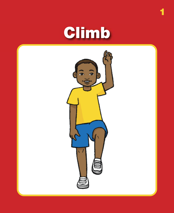# Climb

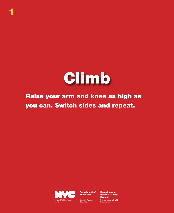

**1**

#### **Raise your arm and knee as high as you can. Switch sides and repeat.**



**Department of Education**

Dennis M. Walcott **Chancellor** 

**Department of Health & Mental Hygiene** Thomas Farley, MD MPH n und das Faney, will wie met de land andere andere andere andere andere andere andere andere 2013<br>Commissioner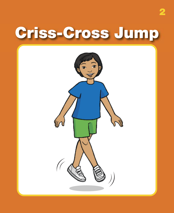## **Criss-Cross Jump**

**2**

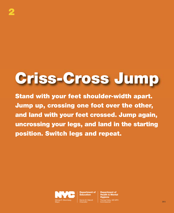# **Criss-Cross Jump**

**Stand with your feet shoulder-width apart. Jump up, crossing one foot over the other, and land with your feet crossed. Jump again, uncrossing your legs, and land in the starting position. Switch legs and repeat.**



**Department of Education**

Dennis M. Walcott **Chancellor**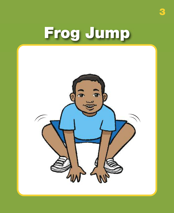# **Frog Jump**

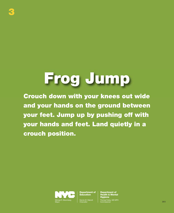#### **Frog Jump**

**3**

**Crouch down with your knees out wide and your hands on the ground between your feet. Jump up by pushing off with your hands and feet. Land quietly in a crouch position.**



**Department of Education**

Dennis M. Walcott Chancellor

**Department of Health & Mental Hygiene** by, MD MPH Commissioner 2013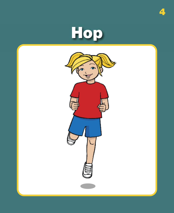



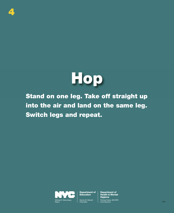



**Stand on one leg. Take off straight up into the air and land on the same leg. Switch legs and repeat.**



**Department of Education**

Dennis M. Walcott Chancellor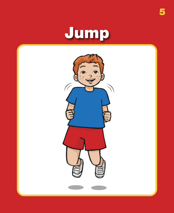# Jump

5

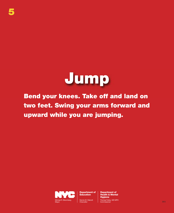

**Bend your knees. Take off and land on two feet. Swing your arms forward and upward while you are jumping.**



**Department of Education**

Dennis M. Walcott **Chancellor** 

**Department of Health & Mental Hygiene** Thomas Farley, MD MPH n und das Faney, will wie met de land andere andere andere andere andere andere andere andere 2013<br>Commissioner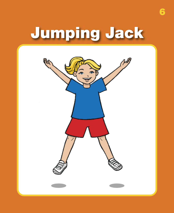# **Jumping Jack**

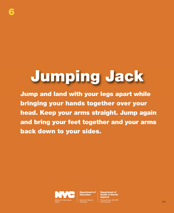# **Jumping Jack**

**6**

**Jump and land with your legs apart while bringing your hands together over your head. Keep your arms straight. Jump again and bring your feet together and your arms back down to your sides.**



**Department of Education**

Dennis M. Walcott **Chancellor** 

**Department of Health & Mental Hygiene** Commissioner 2013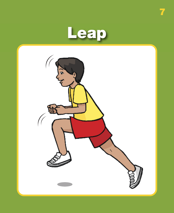

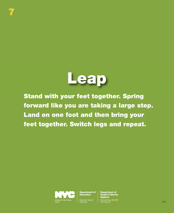

**Stand with your feet together. Spring forward like you are taking a large step. Land on one foot and then bring your feet together. Switch legs and repeat.**



**7**

**Department of Education**

Dennis M. Walcott Chancellor

**Department of Health & Mental Hygiene** Commissioner 2013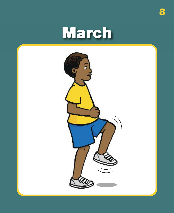### March

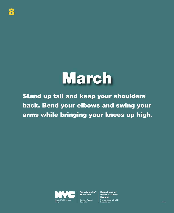#### **March**

**Stand up tall and keep your shoulders back. Bend your elbows and swing your arms while bringing your knees up high.**



**Department of Education**

Dennis M. Walcott Chancellor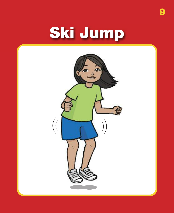#### Ski Jump

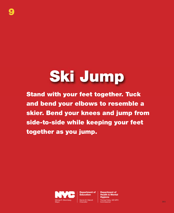# **Ski Jump**

**9**

**Stand with your feet together. Tuck and bend your elbows to resemble a skier. Bend your knees and jump from side-to-side while keeping your feet together as you jump.**



**Department of Education**

Dennis M. Walcott **Chancellor**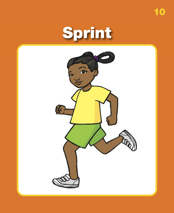

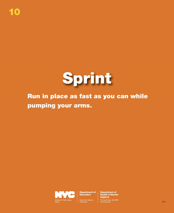

#### **Run in place as fast as you can while pumping your arms.**



**Department of Education**

Dennis M. Walcott Chancellor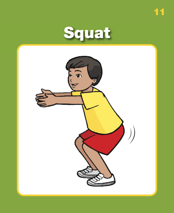

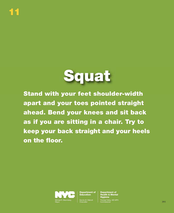

**Stand with your feet shoulder-width apart and your toes pointed straight ahead. Bend your knees and sit back as if you are sitting in a chair. Try to keep your back straight and your heels on the floor.**



**Department of Education**

Dennis M. Walcott Chancellor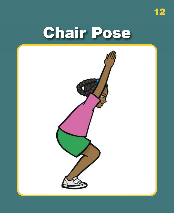**Chair Pose** 

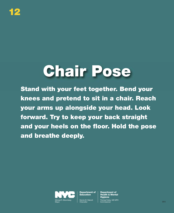# **Chair Pose**

**Stand with your feet together. Bend your knees and pretend to sit in a chair. Reach your arms up alongside your head. Look forward. Try to keep your back straight and your heels on the floor. Hold the pose and breathe deeply.**



**Department of Education**

Dennis M. Walcott **Chancellor**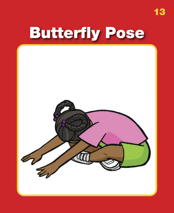#### **Butterfly Pose**

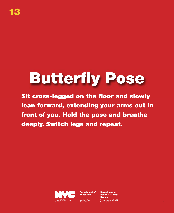#### **Butterfly Pose**

**Sit cross-legged on the floor and slowly lean forward, extending your arms out in front of you. Hold the pose and breathe deeply. Switch legs and repeat.**



**Department of Education**

Dennis M. Walcott **Chancellor**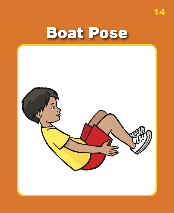

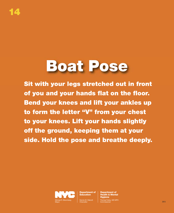#### **Boat Pose**

**Sit with your legs stretched out in front of you and your hands flat on the floor. Bend your knees and lift your ankles up to form the letter "V" from your chest to your knees. Lift your hands slightly off the ground, keeping them at your side. Hold the pose and breathe deeply.**



**Department of Education**

Dennis M. Walcott **Chancellor** 

**Department of Health & Mental Hygiene** Commissioner 2013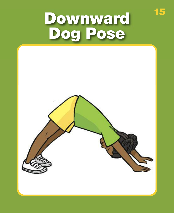# Downward<br>Dog Pose

15

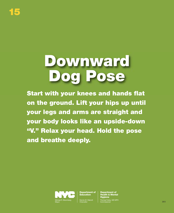#### **Downward Dog Pose**

**Start with your knees and hands flat on the ground. Lift your hips up until your legs and arms are straight and your body looks like an upside-down "V." Relax your head. Hold the pose and breathe deeply.**



**Department of Education**

Dennis M. Walcott Chancellor

**Department of Health & Mental Hygiene** by, MD MPH Commissioner 2013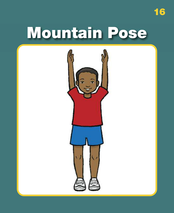#### **Mountain Pose**

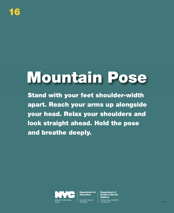## **Mountain Pose**

**Stand with your feet shoulder-width apart. Reach your arms up alongside your head. Relax your shoulders and look straight ahead. Hold the pose and breathe deeply.**



**Department of Education**

Dennis M. Walcott Chancellor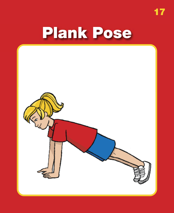$\begin{array}{c} \n \textbf{17} \n \end{array}$ 

#### **Plank Pose**

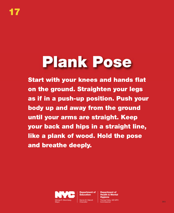#### **Plank Pose**

**Start with your knees and hands flat on the ground. Straighten your legs as if in a push-up position. Push your body up and away from the ground until your arms are straight. Keep your back and hips in a straight line, like a plank of wood. Hold the pose and breathe deeply.**



**Department of Education**

Dennis M. Walcott **Chancellor**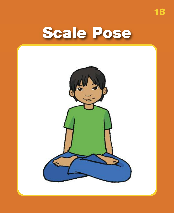Scale Pose



18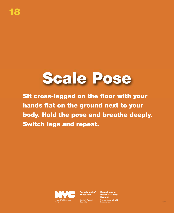#### **Scale Pose**

**Sit cross-legged on the floor with your hands flat on the ground next to your body. Hold the pose and breathe deeply. Switch legs and repeat.**



**Department of Education**

Dennis M. Walcott **Chancellor**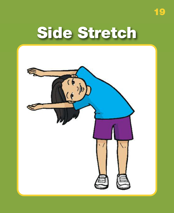#### **Side Stretch**

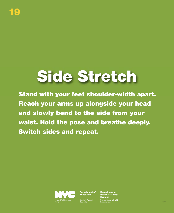### **Side Stretch**

**Stand with your feet shoulder-width apart. Reach your arms up alongside your head and slowly bend to the side from your waist. Hold the pose and breathe deeply. Switch sides and repeat.**



**Department of Education**

Dennis M. Walcott **Chancellor**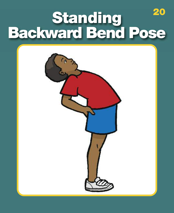#### 20 Standing<br>Backward Bend Pose

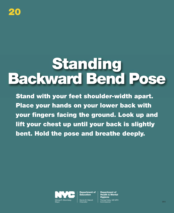

#### **Standing Backward Bend Pose**

**Stand with your feet shoulder-width apart. Place your hands on your lower back with your fingers facing the ground. Look up and lift your chest up until your back is slightly bent. Hold the pose and breathe deeply.**



**Department of Education**

Dennis M. Walcott **Chancellor**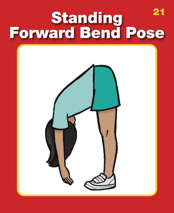## 21 Standing<br>Forward Bend Pose

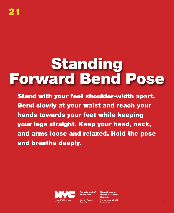#### **Standing Forward Bend Pose**

**Stand with your feet shoulder-width apart. Bend slowly at your waist and reach your hands towards your feet while keeping your legs straight. Keep your head, neck, and arms loose and relaxed. Hold the pose and breathe deeply.**



**Department of Education**

Dennis M. Walcott **Chancellor** 

**Department of Health & Mental Hygiene** Thomas Farley, MD MPH experimental control with the commissioner 2013<br>Commissioner 2013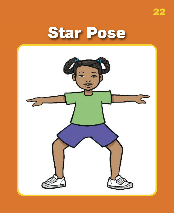



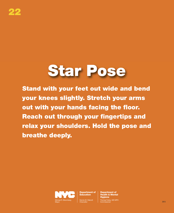#### **Star Pose**

**Stand with your feet out wide and bend your knees slightly. Stretch your arms out with your hands facing the floor. Reach out through your fingertips and relax your shoulders. Hold the pose and breathe deeply.**



**Department of Education**

**Chancellor**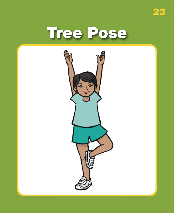



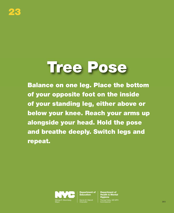#### **Tree Pose**

**Balance on one leg. Place the bottom of your opposite foot on the inside of your standing leg, either above or below your knee. Reach your arms up alongside your head. Hold the pose and breathe deeply. Switch legs and repeat.**



**Department of Education**

Dennis M. Walcott **Chancellor** 

**Department of Health & Mental Hygiene** by, MD MPH Commissioner 2013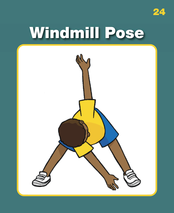

## Windmill Pose